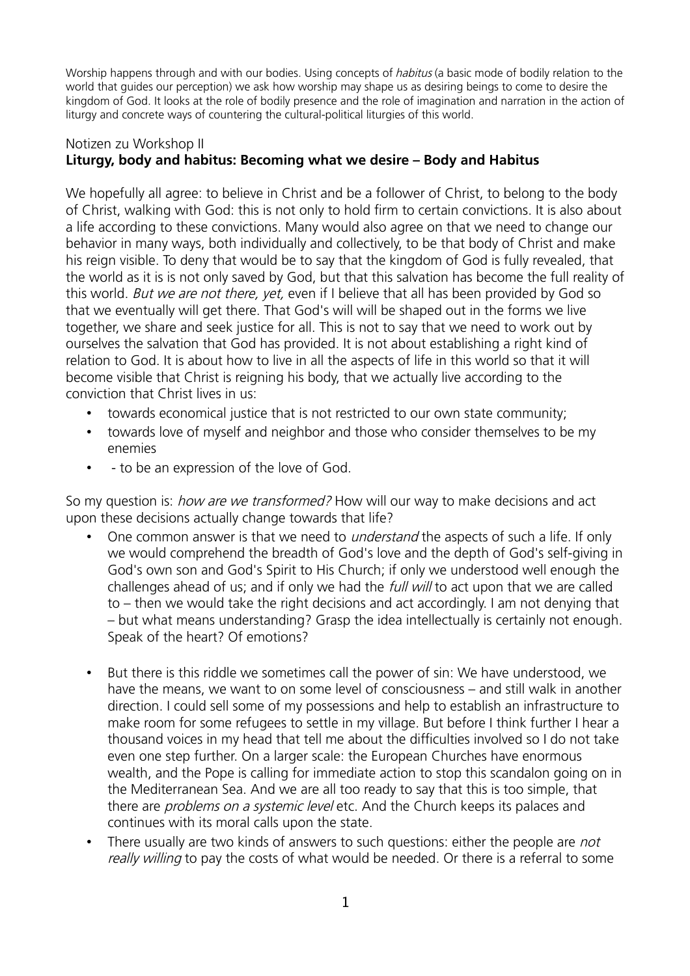Worship happens through and with our bodies. Using concepts of *habitus* (a basic mode of bodily relation to the world that guides our perception) we ask how worship may shape us as desiring beings to come to desire the kingdom of God. It looks at the role of bodily presence and the role of imagination and narration in the action of liturgy and concrete ways of countering the cultural-political liturgies of this world.

## Notizen zu Workshop II **Liturgy, body and habitus: Becoming what we desire – Body and Habitus**

We hopefully all agree: to believe in Christ and be a follower of Christ, to belong to the body of Christ, walking with God: this is not only to hold firm to certain convictions. It is also about a life according to these convictions. Many would also agree on that we need to change our behavior in many ways, both individually and collectively, to be that body of Christ and make his reign visible. To deny that would be to say that the kingdom of God is fully revealed, that the world as it is is not only saved by God, but that this salvation has become the full reality of this world. But we are not there, yet, even if I believe that all has been provided by God so that we eventually will get there. That God's will will be shaped out in the forms we live together, we share and seek justice for all. This is not to say that we need to work out by ourselves the salvation that God has provided. It is not about establishing a right kind of relation to God. It is about how to live in all the aspects of life in this world so that it will become visible that Christ is reigning his body, that we actually live according to the conviction that Christ lives in us:

- towards economical justice that is not restricted to our own state community;
- towards love of myself and neighbor and those who consider themselves to be my enemies
- - to be an expression of the love of God.

So my question is: *how are we transformed?* How will our way to make decisions and act upon these decisions actually change towards that life?

- One common answer is that we need to *understand* the aspects of such a life. If only we would comprehend the breadth of God's love and the depth of God's self-giving in God's own son and God's Spirit to His Church; if only we understood well enough the challenges ahead of us; and if only we had the full will to act upon that we are called to – then we would take the right decisions and act accordingly. I am not denying that – but what means understanding? Grasp the idea intellectually is certainly not enough. Speak of the heart? Of emotions?
- But there is this riddle we sometimes call the power of sin: We have understood, we have the means, we want to on some level of consciousness – and still walk in another direction. I could sell some of my possessions and help to establish an infrastructure to make room for some refugees to settle in my village. But before I think further I hear a thousand voices in my head that tell me about the difficulties involved so I do not take even one step further. On a larger scale: the European Churches have enormous wealth, and the Pope is calling for immediate action to stop this scandalon going on in the Mediterranean Sea. And we are all too ready to say that this is too simple, that there are *problems on a systemic level* etc. And the Church keeps its palaces and continues with its moral calls upon the state.
- There usually are two kinds of answers to such questions: either the people are *not* really willing to pay the costs of what would be needed. Or there is a referral to some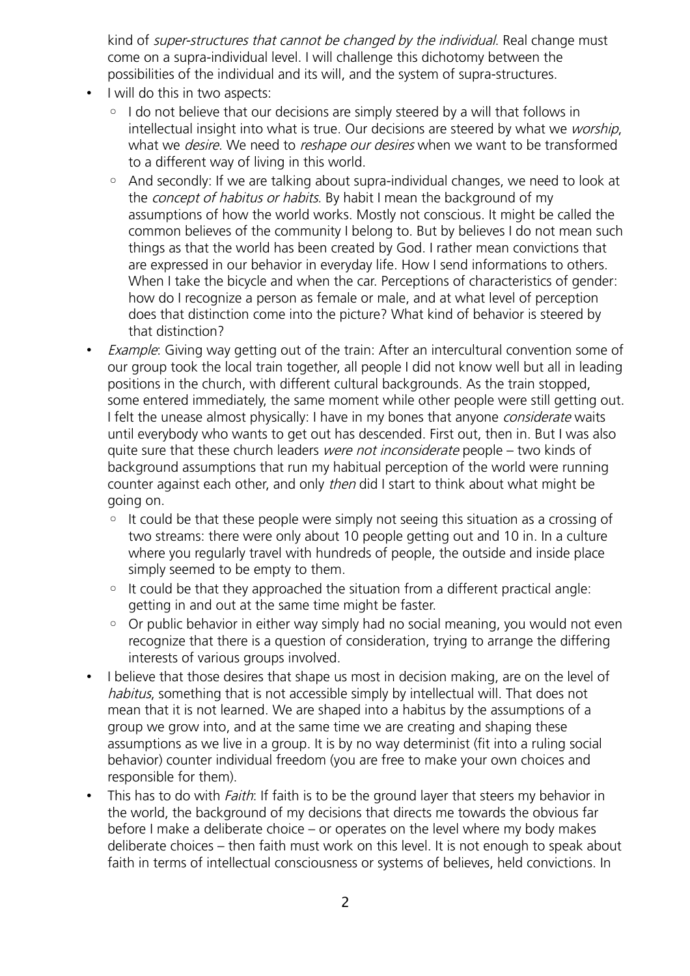kind of *super-structures that cannot be changed by the individual*. Real change must come on a supra-individual level. I will challenge this dichotomy between the possibilities of the individual and its will, and the system of supra-structures.

- I will do this in two aspects:
	- I do not believe that our decisions are simply steered by a will that follows in intellectual insight into what is true. Our decisions are steered by what we worship, what we *desire*. We need to *reshape our desires* when we want to be transformed to a different way of living in this world.
	- And secondly: If we are talking about supra-individual changes, we need to look at the *concept of habitus or habits*. By habit I mean the background of mv assumptions of how the world works. Mostly not conscious. It might be called the common believes of the community I belong to. But by believes I do not mean such things as that the world has been created by God. I rather mean convictions that are expressed in our behavior in everyday life. How I send informations to others. When I take the bicycle and when the car. Perceptions of characteristics of gender: how do I recognize a person as female or male, and at what level of perception does that distinction come into the picture? What kind of behavior is steered by that distinction?
- Example: Giving way getting out of the train: After an intercultural convention some of our group took the local train together, all people I did not know well but all in leading positions in the church, with different cultural backgrounds. As the train stopped, some entered immediately, the same moment while other people were still getting out. I felt the unease almost physically: I have in my bones that anyone *considerate* waits until everybody who wants to get out has descended. First out, then in. But I was also quite sure that these church leaders were not inconsiderate people – two kinds of background assumptions that run my habitual perception of the world were running counter against each other, and only *then* did I start to think about what might be going on.
	- It could be that these people were simply not seeing this situation as a crossing of two streams: there were only about 10 people getting out and 10 in. In a culture where you regularly travel with hundreds of people, the outside and inside place simply seemed to be empty to them.
	- It could be that they approached the situation from a different practical angle: getting in and out at the same time might be faster.
	- Or public behavior in either way simply had no social meaning, you would not even recognize that there is a question of consideration, trying to arrange the differing interests of various groups involved.
- I believe that those desires that shape us most in decision making, are on the level of habitus, something that is not accessible simply by intellectual will. That does not mean that it is not learned. We are shaped into a habitus by the assumptions of a group we grow into, and at the same time we are creating and shaping these assumptions as we live in a group. It is by no way determinist (fit into a ruling social behavior) counter individual freedom (you are free to make your own choices and responsible for them).
- This has to do with *Faith*: If faith is to be the ground layer that steers my behavior in the world, the background of my decisions that directs me towards the obvious far before I make a deliberate choice – or operates on the level where my body makes deliberate choices – then faith must work on this level. It is not enough to speak about faith in terms of intellectual consciousness or systems of believes, held convictions. In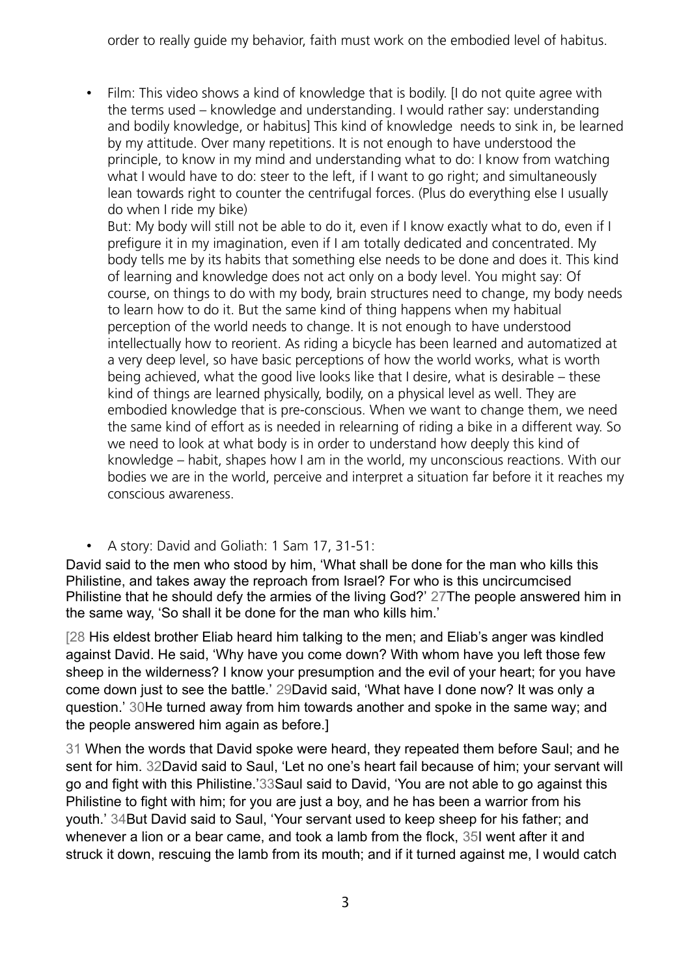order to really guide my behavior, faith must work on the embodied level of habitus.

• Film: This video shows a kind of knowledge that is bodily. [I do not quite agree with the terms used – knowledge and understanding. I would rather say: understanding and bodily knowledge, or habitus] This kind of knowledge needs to sink in, be learned by my attitude. Over many repetitions. It is not enough to have understood the principle, to know in my mind and understanding what to do: I know from watching what I would have to do: steer to the left, if I want to go right; and simultaneously lean towards right to counter the centrifugal forces. (Plus do everything else I usually do when I ride my bike)

But: My body will still not be able to do it, even if I know exactly what to do, even if I prefigure it in my imagination, even if I am totally dedicated and concentrated. My body tells me by its habits that something else needs to be done and does it. This kind of learning and knowledge does not act only on a body level. You might say: Of course, on things to do with my body, brain structures need to change, my body needs to learn how to do it. But the same kind of thing happens when my habitual perception of the world needs to change. It is not enough to have understood intellectually how to reorient. As riding a bicycle has been learned and automatized at a very deep level, so have basic perceptions of how the world works, what is worth being achieved, what the good live looks like that I desire, what is desirable – these kind of things are learned physically, bodily, on a physical level as well. They are embodied knowledge that is pre-conscious. When we want to change them, we need the same kind of effort as is needed in relearning of riding a bike in a different way. So we need to look at what body is in order to understand how deeply this kind of knowledge – habit, shapes how I am in the world, my unconscious reactions. With our bodies we are in the world, perceive and interpret a situation far before it it reaches my conscious awareness.

## • A story: David and Goliath: 1 Sam 17, 31-51:

David said to the men who stood by him, 'What shall be done for the man who kills this Philistine, and takes away the reproach from Israel? For who is this uncircumcised Philistine that he should defy the armies of the living God?' 27The people answered him in the same way, 'So shall it be done for the man who kills him.'

[28 His eldest brother Eliab heard him talking to the men; and Eliab's anger was kindled against David. He said, 'Why have you come down? With whom have you left those few sheep in the wilderness? I know your presumption and the evil of your heart; for you have come down just to see the battle.' 29David said, 'What have I done now? It was only a question.' 30He turned away from him towards another and spoke in the same way; and the people answered him again as before.]

31 When the words that David spoke were heard, they repeated them before Saul; and he sent for him. 32David said to Saul, 'Let no one's heart fail because of him; your servant will go and fight with this Philistine.'33Saul said to David, 'You are not able to go against this Philistine to fight with him; for you are just a boy, and he has been a warrior from his youth.' 34But David said to Saul, 'Your servant used to keep sheep for his father; and whenever a lion or a bear came, and took a lamb from the flock, 35I went after it and struck it down, rescuing the lamb from its mouth; and if it turned against me, I would catch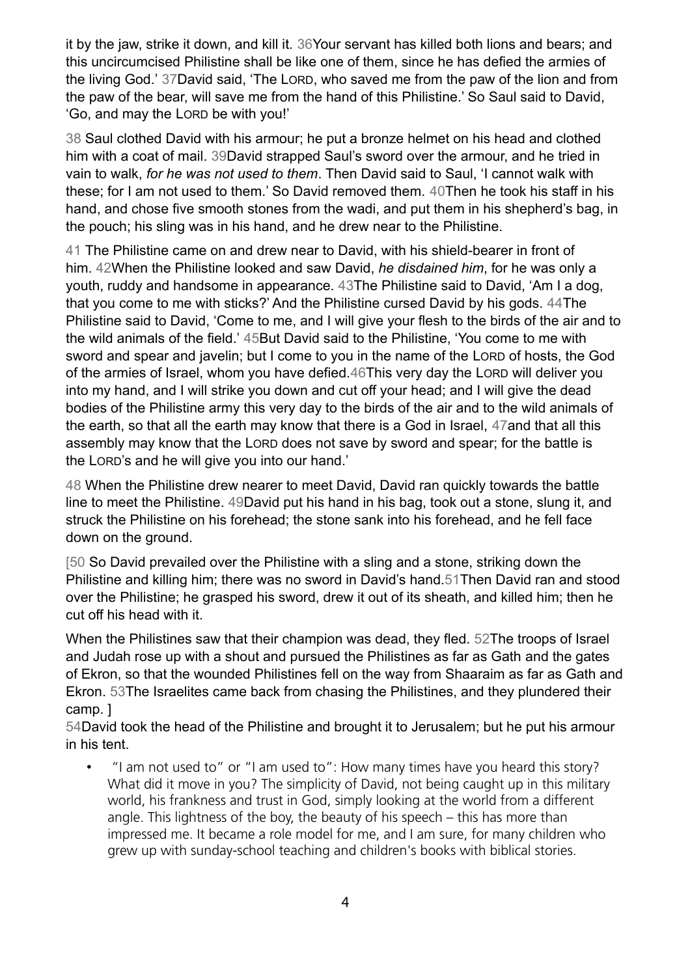it by the jaw, strike it down, and kill it. 36Your servant has killed both lions and bears; and this uncircumcised Philistine shall be like one of them, since he has defied the armies of the living God.' 37David said, 'The LORD, who saved me from the paw of the lion and from the paw of the bear, will save me from the hand of this Philistine.' So Saul said to David, 'Go, and may the LORD be with you!'

38 Saul clothed David with his armour; he put a bronze helmet on his head and clothed him with a coat of mail. 39David strapped Saul's sword over the armour, and he tried in vain to walk, *for he was not used to them*. Then David said to Saul, 'I cannot walk with these; for I am not used to them.' So David removed them. 40Then he took his staff in his hand, and chose five smooth stones from the wadi, and put them in his shepherd's bag, in the pouch; his sling was in his hand, and he drew near to the Philistine.

41 The Philistine came on and drew near to David, with his shield-bearer in front of him. 42When the Philistine looked and saw David, *he disdained him*, for he was only a youth, ruddy and handsome in appearance. 43The Philistine said to David, 'Am I a dog, that you come to me with sticks?' And the Philistine cursed David by his gods. 44The Philistine said to David, 'Come to me, and I will give your flesh to the birds of the air and to the wild animals of the field.' 45But David said to the Philistine, 'You come to me with sword and spear and javelin; but I come to you in the name of the LORD of hosts, the God of the armies of Israel, whom you have defied.46This very day the LORD will deliver you into my hand, and I will strike you down and cut off your head; and I will give the dead bodies of the Philistine army this very day to the birds of the air and to the wild animals of the earth, so that all the earth may know that there is a God in Israel, 47and that all this assembly may know that the LORD does not save by sword and spear; for the battle is the LORD's and he will give you into our hand.'

48 When the Philistine drew nearer to meet David, David ran quickly towards the battle line to meet the Philistine. 49David put his hand in his bag, took out a stone, slung it, and struck the Philistine on his forehead; the stone sank into his forehead, and he fell face down on the ground.

[50 So David prevailed over the Philistine with a sling and a stone, striking down the Philistine and killing him; there was no sword in David's hand.51Then David ran and stood over the Philistine; he grasped his sword, drew it out of its sheath, and killed him; then he cut off his head with it.

When the Philistines saw that their champion was dead, they fled. 52The troops of Israel and Judah rose up with a shout and pursued the Philistines as far as Gath and the gates of Ekron, so that the wounded Philistines fell on the way from Shaaraim as far as Gath and Ekron. 53The Israelites came back from chasing the Philistines, and they plundered their camp. ]

54David took the head of the Philistine and brought it to Jerusalem; but he put his armour in his tent.

• "I am not used to" or "I am used to": How many times have you heard this story? What did it move in you? The simplicity of David, not being caught up in this military world, his frankness and trust in God, simply looking at the world from a different angle. This lightness of the boy, the beauty of his speech – this has more than impressed me. It became a role model for me, and I am sure, for many children who grew up with sunday-school teaching and children's books with biblical stories.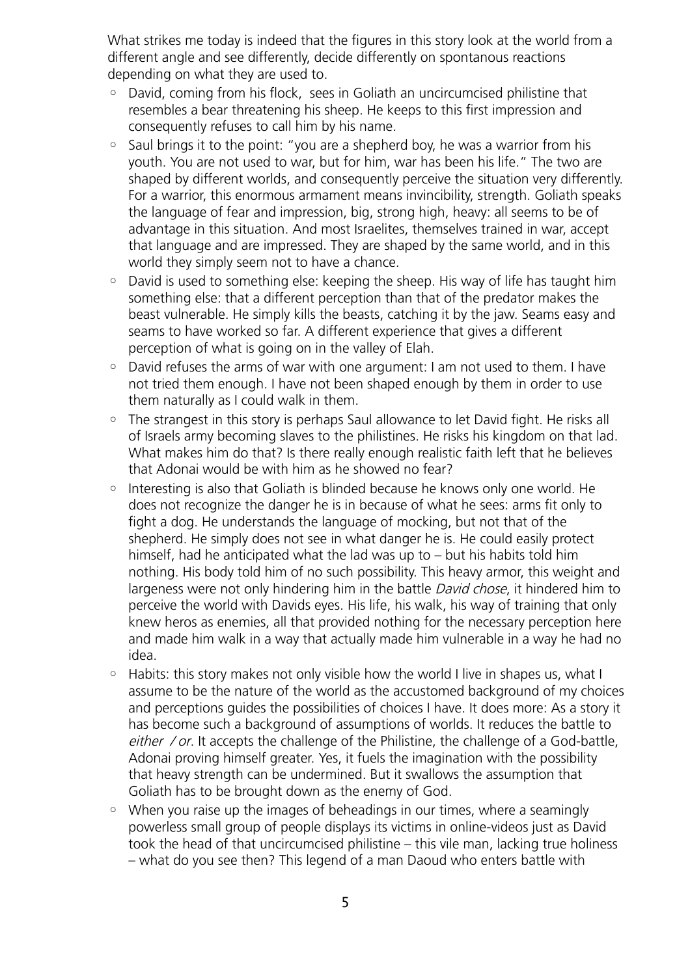What strikes me today is indeed that the figures in this story look at the world from a different angle and see differently, decide differently on spontanous reactions depending on what they are used to.

- David, coming from his flock, sees in Goliath an uncircumcised philistine that resembles a bear threatening his sheep. He keeps to this first impression and consequently refuses to call him by his name.
- Saul brings it to the point: "you are a shepherd boy, he was a warrior from his youth. You are not used to war, but for him, war has been his life." The two are shaped by different worlds, and consequently perceive the situation very differently. For a warrior, this enormous armament means invincibility, strength. Goliath speaks the language of fear and impression, big, strong high, heavy: all seems to be of advantage in this situation. And most Israelites, themselves trained in war, accept that language and are impressed. They are shaped by the same world, and in this world they simply seem not to have a chance.
- David is used to something else: keeping the sheep. His way of life has taught him something else: that a different perception than that of the predator makes the beast vulnerable. He simply kills the beasts, catching it by the jaw. Seams easy and seams to have worked so far. A different experience that gives a different perception of what is going on in the valley of Elah.
- David refuses the arms of war with one argument: I am not used to them. I have not tried them enough. I have not been shaped enough by them in order to use them naturally as I could walk in them.
- The strangest in this story is perhaps Saul allowance to let David fight. He risks all of Israels army becoming slaves to the philistines. He risks his kingdom on that lad. What makes him do that? Is there really enough realistic faith left that he believes that Adonai would be with him as he showed no fear?
- Interesting is also that Goliath is blinded because he knows only one world. He does not recognize the danger he is in because of what he sees: arms fit only to fight a dog. He understands the language of mocking, but not that of the shepherd. He simply does not see in what danger he is. He could easily protect himself, had he anticipated what the lad was up to – but his habits told him nothing. His body told him of no such possibility. This heavy armor, this weight and largeness were not only hindering him in the battle David chose, it hindered him to perceive the world with Davids eyes. His life, his walk, his way of training that only knew heros as enemies, all that provided nothing for the necessary perception here and made him walk in a way that actually made him vulnerable in a way he had no idea.
- Habits: this story makes not only visible how the world I live in shapes us, what I assume to be the nature of the world as the accustomed background of my choices and perceptions guides the possibilities of choices I have. It does more: As a story it has become such a background of assumptions of worlds. It reduces the battle to either / or. It accepts the challenge of the Philistine, the challenge of a God-battle, Adonai proving himself greater. Yes, it fuels the imagination with the possibility that heavy strength can be undermined. But it swallows the assumption that Goliath has to be brought down as the enemy of God.
- When you raise up the images of beheadings in our times, where a seamingly powerless small group of people displays its victims in online-videos just as David took the head of that uncircumcised philistine – this vile man, lacking true holiness – what do you see then? This legend of a man Daoud who enters battle with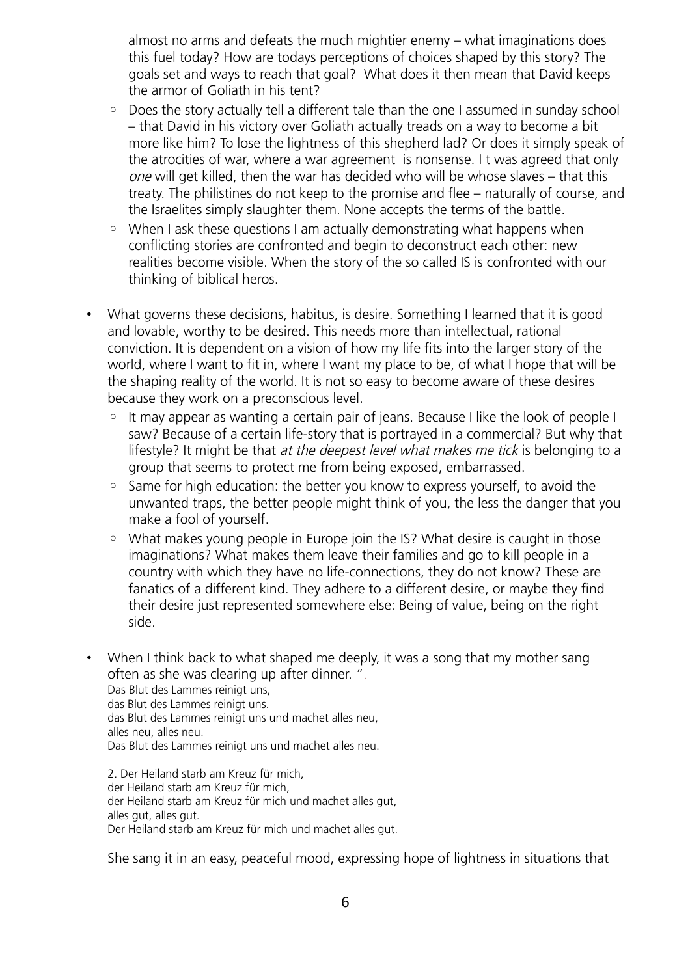almost no arms and defeats the much mightier enemy – what imaginations does this fuel today? How are todays perceptions of choices shaped by this story? The goals set and ways to reach that goal? What does it then mean that David keeps the armor of Goliath in his tent?

- Does the story actually tell a different tale than the one I assumed in sunday school – that David in his victory over Goliath actually treads on a way to become a bit more like him? To lose the lightness of this shepherd lad? Or does it simply speak of the atrocities of war, where a war agreement is nonsense. I t was agreed that only one will get killed, then the war has decided who will be whose slaves – that this treaty. The philistines do not keep to the promise and flee – naturally of course, and the Israelites simply slaughter them. None accepts the terms of the battle.
- When I ask these questions I am actually demonstrating what happens when conflicting stories are confronted and begin to deconstruct each other: new realities become visible. When the story of the so called IS is confronted with our thinking of biblical heros.
- What governs these decisions, habitus, is desire. Something I learned that it is good and lovable, worthy to be desired. This needs more than intellectual, rational conviction. It is dependent on a vision of how my life fits into the larger story of the world, where I want to fit in, where I want my place to be, of what I hope that will be the shaping reality of the world. It is not so easy to become aware of these desires because they work on a preconscious level.
	- It may appear as wanting a certain pair of jeans. Because I like the look of people I saw? Because of a certain life-story that is portrayed in a commercial? But why that lifestyle? It might be that at the deepest level what makes me tick is belonging to a group that seems to protect me from being exposed, embarrassed.
	- Same for high education: the better you know to express yourself, to avoid the unwanted traps, the better people might think of you, the less the danger that you make a fool of yourself.
	- What makes young people in Europe join the IS? What desire is caught in those imaginations? What makes them leave their families and go to kill people in a country with which they have no life-connections, they do not know? These are fanatics of a different kind. They adhere to a different desire, or maybe they find their desire just represented somewhere else: Being of value, being on the right side.
- When I think back to what shaped me deeply, it was a song that my mother sang often as she was clearing up after dinner. ".

Das Blut des Lammes reinigt uns, das Blut des Lammes reinigt uns. das Blut des Lammes reinigt uns und machet alles neu, alles neu, alles neu. Das Blut des Lammes reinigt uns und machet alles neu.

2. Der Heiland starb am Kreuz für mich, der Heiland starb am Kreuz für mich, der Heiland starb am Kreuz für mich und machet alles gut, alles gut, alles gut. Der Heiland starb am Kreuz für mich und machet alles gut.

She sang it in an easy, peaceful mood, expressing hope of lightness in situations that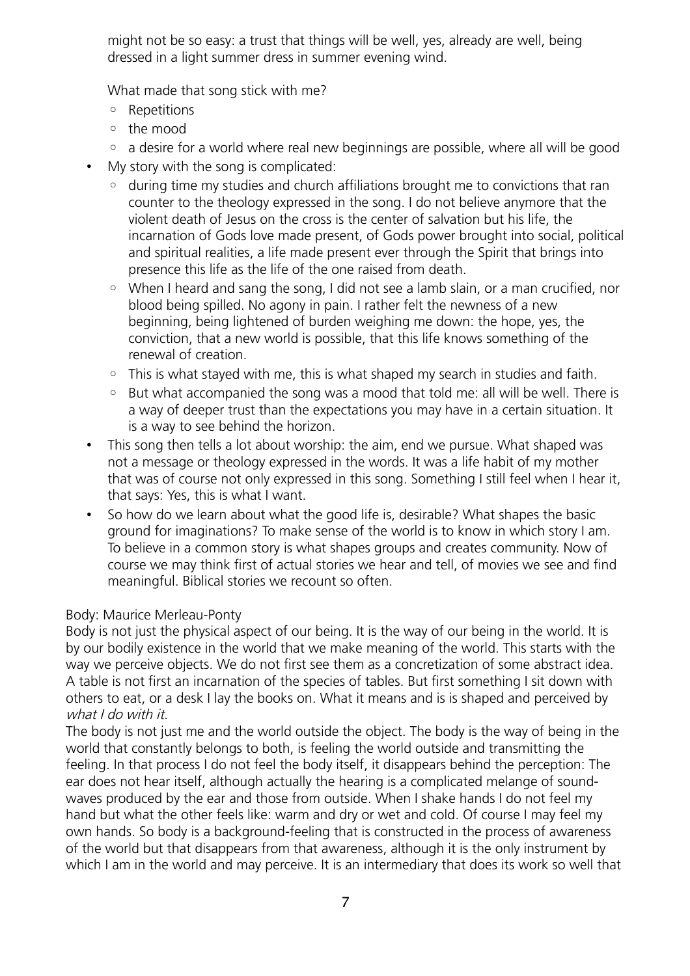might not be so easy: a trust that things will be well, yes, already are well, being dressed in a light summer dress in summer evening wind.

What made that song stick with me?

- Repetitions
- the mood
- a desire for a world where real new beginnings are possible, where all will be good
- My story with the song is complicated:
	- during time my studies and church affiliations brought me to convictions that ran counter to the theology expressed in the song. I do not believe anymore that the violent death of Jesus on the cross is the center of salvation but his life, the incarnation of Gods love made present, of Gods power brought into social, political and spiritual realities, a life made present ever through the Spirit that brings into presence this life as the life of the one raised from death.
	- When I heard and sang the song, I did not see a lamb slain, or a man crucified, nor blood being spilled. No agony in pain. I rather felt the newness of a new beginning, being lightened of burden weighing me down: the hope, yes, the conviction, that a new world is possible, that this life knows something of the renewal of creation.
	- This is what stayed with me, this is what shaped my search in studies and faith.
	- But what accompanied the song was a mood that told me: all will be well. There is a way of deeper trust than the expectations you may have in a certain situation. It is a way to see behind the horizon.
- This song then tells a lot about worship: the aim, end we pursue. What shaped was not a message or theology expressed in the words. It was a life habit of my mother that was of course not only expressed in this song. Something I still feel when I hear it, that says: Yes, this is what I want.
- So how do we learn about what the good life is, desirable? What shapes the basic ground for imaginations? To make sense of the world is to know in which story I am. To believe in a common story is what shapes groups and creates community. Now of course we may think first of actual stories we hear and tell, of movies we see and find meaningful. Biblical stories we recount so often.

## Body: Maurice Merleau-Ponty

Body is not just the physical aspect of our being. It is the way of our being in the world. It is by our bodily existence in the world that we make meaning of the world. This starts with the way we perceive objects. We do not first see them as a concretization of some abstract idea. A table is not first an incarnation of the species of tables. But first something I sit down with others to eat, or a desk I lay the books on. What it means and is is shaped and perceived by what I do with it.

The body is not just me and the world outside the object. The body is the way of being in the world that constantly belongs to both, is feeling the world outside and transmitting the feeling. In that process I do not feel the body itself, it disappears behind the perception: The ear does not hear itself, although actually the hearing is a complicated melange of soundwaves produced by the ear and those from outside. When I shake hands I do not feel my hand but what the other feels like: warm and dry or wet and cold. Of course I may feel my own hands. So body is a background-feeling that is constructed in the process of awareness of the world but that disappears from that awareness, although it is the only instrument by which I am in the world and may perceive. It is an intermediary that does its work so well that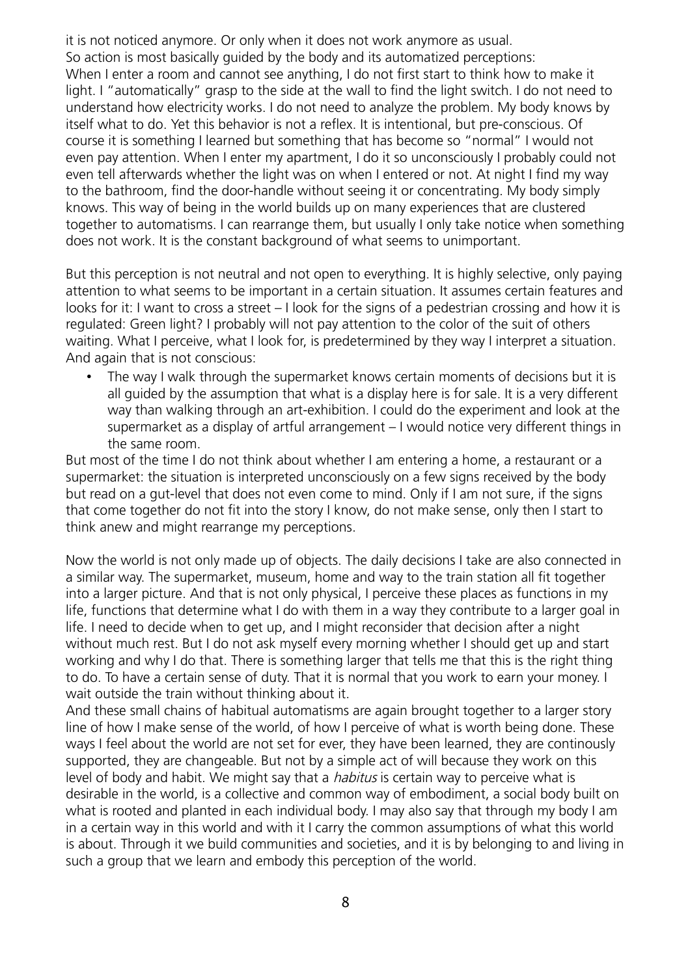it is not noticed anymore. Or only when it does not work anymore as usual. So action is most basically guided by the body and its automatized perceptions: When I enter a room and cannot see anything. I do not first start to think how to make it light. I "automatically" grasp to the side at the wall to find the light switch. I do not need to understand how electricity works. I do not need to analyze the problem. My body knows by itself what to do. Yet this behavior is not a reflex. It is intentional, but pre-conscious. Of course it is something I learned but something that has become so "normal" I would not even pay attention. When I enter my apartment, I do it so unconsciously I probably could not even tell afterwards whether the light was on when I entered or not. At night I find my way to the bathroom, find the door-handle without seeing it or concentrating. My body simply knows. This way of being in the world builds up on many experiences that are clustered together to automatisms. I can rearrange them, but usually I only take notice when something does not work. It is the constant background of what seems to unimportant.

But this perception is not neutral and not open to everything. It is highly selective, only paying attention to what seems to be important in a certain situation. It assumes certain features and looks for it: I want to cross a street – I look for the signs of a pedestrian crossing and how it is regulated: Green light? I probably will not pay attention to the color of the suit of others waiting. What I perceive, what I look for, is predetermined by they way I interpret a situation. And again that is not conscious:

The way I walk through the supermarket knows certain moments of decisions but it is all guided by the assumption that what is a display here is for sale. It is a very different way than walking through an art-exhibition. I could do the experiment and look at the supermarket as a display of artful arrangement – I would notice very different things in the same room.

But most of the time I do not think about whether I am entering a home, a restaurant or a supermarket: the situation is interpreted unconsciously on a few signs received by the body but read on a gut-level that does not even come to mind. Only if I am not sure, if the signs that come together do not fit into the story I know, do not make sense, only then I start to think anew and might rearrange my perceptions.

Now the world is not only made up of objects. The daily decisions I take are also connected in a similar way. The supermarket, museum, home and way to the train station all fit together into a larger picture. And that is not only physical, I perceive these places as functions in my life, functions that determine what I do with them in a way they contribute to a larger goal in life. I need to decide when to get up, and I might reconsider that decision after a night without much rest. But I do not ask myself every morning whether I should get up and start working and why I do that. There is something larger that tells me that this is the right thing to do. To have a certain sense of duty. That it is normal that you work to earn your money. I wait outside the train without thinking about it.

And these small chains of habitual automatisms are again brought together to a larger story line of how I make sense of the world, of how I perceive of what is worth being done. These ways I feel about the world are not set for ever, they have been learned, they are continously supported, they are changeable. But not by a simple act of will because they work on this level of body and habit. We might say that a *habitus* is certain way to perceive what is desirable in the world, is a collective and common way of embodiment, a social body built on what is rooted and planted in each individual body. I may also say that through my body I am in a certain way in this world and with it I carry the common assumptions of what this world is about. Through it we build communities and societies, and it is by belonging to and living in such a group that we learn and embody this perception of the world.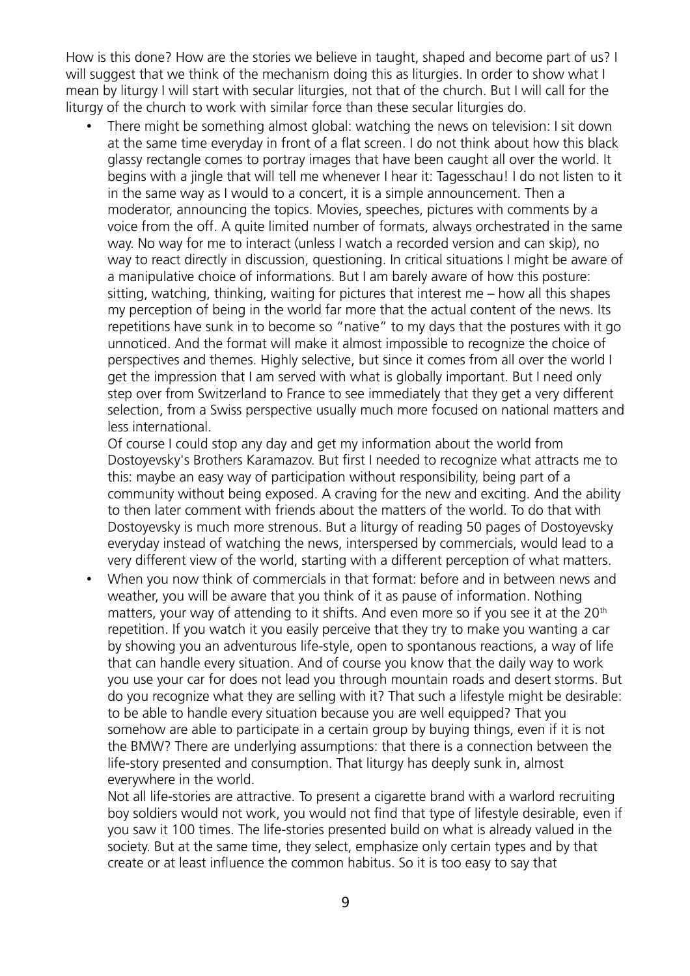How is this done? How are the stories we believe in taught, shaped and become part of us? I will suggest that we think of the mechanism doing this as liturgies. In order to show what I mean by liturgy I will start with secular liturgies, not that of the church. But I will call for the liturgy of the church to work with similar force than these secular liturgies do.

• There might be something almost global: watching the news on television: I sit down at the same time everyday in front of a flat screen. I do not think about how this black glassy rectangle comes to portray images that have been caught all over the world. It begins with a jingle that will tell me whenever I hear it: Tagesschau! I do not listen to it in the same way as I would to a concert, it is a simple announcement. Then a moderator, announcing the topics. Movies, speeches, pictures with comments by a voice from the off. A quite limited number of formats, always orchestrated in the same way. No way for me to interact (unless I watch a recorded version and can skip), no way to react directly in discussion, questioning. In critical situations I might be aware of a manipulative choice of informations. But I am barely aware of how this posture: sitting, watching, thinking, waiting for pictures that interest me – how all this shapes my perception of being in the world far more that the actual content of the news. Its repetitions have sunk in to become so "native" to my days that the postures with it go unnoticed. And the format will make it almost impossible to recognize the choice of perspectives and themes. Highly selective, but since it comes from all over the world I get the impression that I am served with what is globally important. But I need only step over from Switzerland to France to see immediately that they get a very different selection, from a Swiss perspective usually much more focused on national matters and less international.

Of course I could stop any day and get my information about the world from Dostoyevsky's Brothers Karamazov. But first I needed to recognize what attracts me to this: maybe an easy way of participation without responsibility, being part of a community without being exposed. A craving for the new and exciting. And the ability to then later comment with friends about the matters of the world. To do that with Dostoyevsky is much more strenous. But a liturgy of reading 50 pages of Dostoyevsky everyday instead of watching the news, interspersed by commercials, would lead to a very different view of the world, starting with a different perception of what matters.

• When you now think of commercials in that format: before and in between news and weather, you will be aware that you think of it as pause of information. Nothing matters, your way of attending to it shifts. And even more so if you see it at the 20<sup>th</sup> repetition. If you watch it you easily perceive that they try to make you wanting a car by showing you an adventurous life-style, open to spontanous reactions, a way of life that can handle every situation. And of course you know that the daily way to work you use your car for does not lead you through mountain roads and desert storms. But do you recognize what they are selling with it? That such a lifestyle might be desirable: to be able to handle every situation because you are well equipped? That you somehow are able to participate in a certain group by buying things, even if it is not the BMW? There are underlying assumptions: that there is a connection between the life-story presented and consumption. That liturgy has deeply sunk in, almost everywhere in the world.

Not all life-stories are attractive. To present a cigarette brand with a warlord recruiting boy soldiers would not work, you would not find that type of lifestyle desirable, even if you saw it 100 times. The life-stories presented build on what is already valued in the society. But at the same time, they select, emphasize only certain types and by that create or at least influence the common habitus. So it is too easy to say that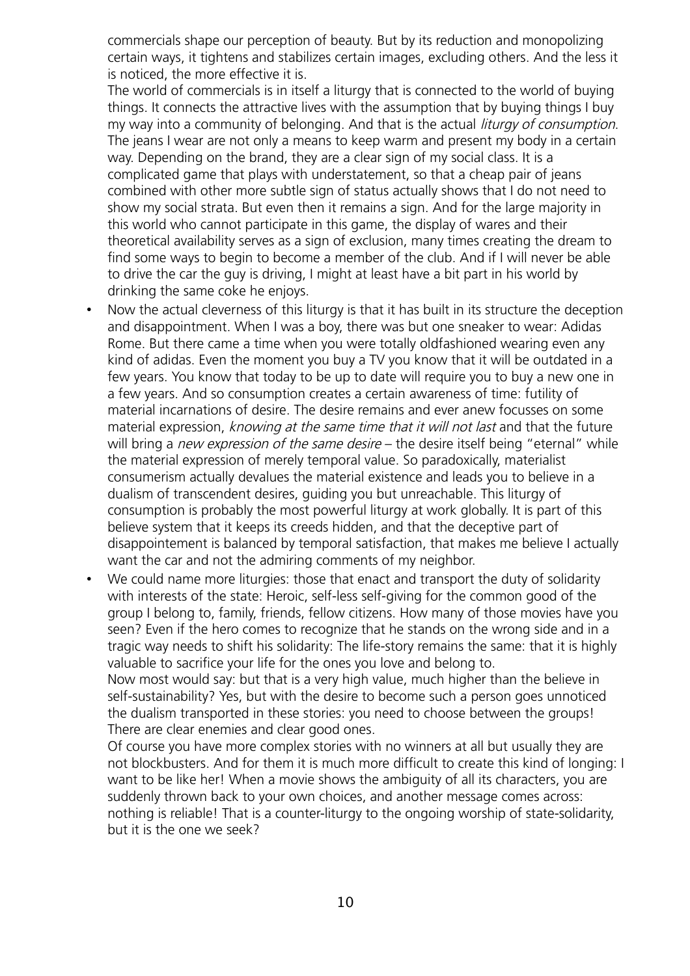commercials shape our perception of beauty. But by its reduction and monopolizing certain ways, it tightens and stabilizes certain images, excluding others. And the less it is noticed, the more effective it is.

The world of commercials is in itself a liturgy that is connected to the world of buying things. It connects the attractive lives with the assumption that by buying things I buy my way into a community of belonging. And that is the actual *liturgy of consumption*. The jeans I wear are not only a means to keep warm and present my body in a certain way. Depending on the brand, they are a clear sign of my social class. It is a complicated game that plays with understatement, so that a cheap pair of jeans combined with other more subtle sign of status actually shows that I do not need to show my social strata. But even then it remains a sign. And for the large majority in this world who cannot participate in this game, the display of wares and their theoretical availability serves as a sign of exclusion, many times creating the dream to find some ways to begin to become a member of the club. And if I will never be able to drive the car the guy is driving, I might at least have a bit part in his world by drinking the same coke he enjoys.

- Now the actual cleverness of this liturgy is that it has built in its structure the deception and disappointment. When I was a boy, there was but one sneaker to wear: Adidas Rome. But there came a time when you were totally oldfashioned wearing even any kind of adidas. Even the moment you buy a TV you know that it will be outdated in a few years. You know that today to be up to date will require you to buy a new one in a few years. And so consumption creates a certain awareness of time: futility of material incarnations of desire. The desire remains and ever anew focusses on some material expression, knowing at the same time that it will not last and that the future will bring a new expression of the same desire – the desire itself being "eternal" while the material expression of merely temporal value. So paradoxically, materialist consumerism actually devalues the material existence and leads you to believe in a dualism of transcendent desires, guiding you but unreachable. This liturgy of consumption is probably the most powerful liturgy at work globally. It is part of this believe system that it keeps its creeds hidden, and that the deceptive part of disappointement is balanced by temporal satisfaction, that makes me believe I actually want the car and not the admiring comments of my neighbor.
- We could name more liturgies: those that enact and transport the duty of solidarity with interests of the state: Heroic, self-less self-giving for the common good of the group I belong to, family, friends, fellow citizens. How many of those movies have you seen? Even if the hero comes to recognize that he stands on the wrong side and in a tragic way needs to shift his solidarity: The life-story remains the same: that it is highly valuable to sacrifice your life for the ones you love and belong to.

Now most would say: but that is a very high value, much higher than the believe in self-sustainability? Yes, but with the desire to become such a person goes unnoticed the dualism transported in these stories: you need to choose between the groups! There are clear enemies and clear good ones.

Of course you have more complex stories with no winners at all but usually they are not blockbusters. And for them it is much more difficult to create this kind of longing: I want to be like her! When a movie shows the ambiguity of all its characters, you are suddenly thrown back to your own choices, and another message comes across: nothing is reliable! That is a counter-liturgy to the ongoing worship of state-solidarity, but it is the one we seek?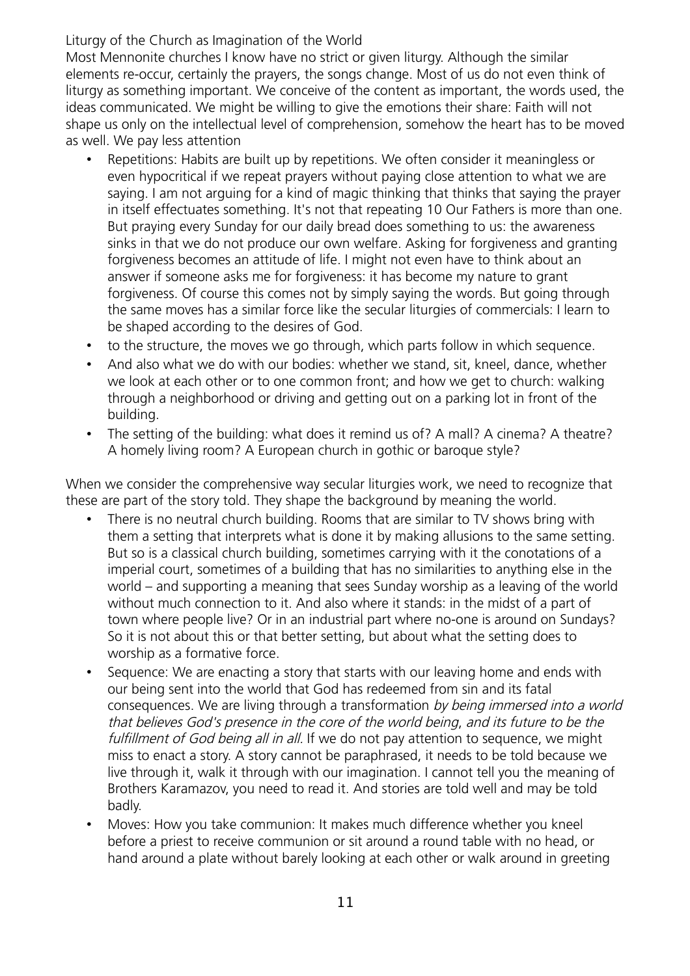## Liturgy of the Church as Imagination of the World

Most Mennonite churches I know have no strict or given liturgy. Although the similar elements re-occur, certainly the prayers, the songs change. Most of us do not even think of liturgy as something important. We conceive of the content as important, the words used, the ideas communicated. We might be willing to give the emotions their share: Faith will not shape us only on the intellectual level of comprehension, somehow the heart has to be moved as well. We pay less attention

- Repetitions: Habits are built up by repetitions. We often consider it meaningless or even hypocritical if we repeat prayers without paying close attention to what we are saying. I am not arguing for a kind of magic thinking that thinks that saying the prayer in itself effectuates something. It's not that repeating 10 Our Fathers is more than one. But praying every Sunday for our daily bread does something to us: the awareness sinks in that we do not produce our own welfare. Asking for forgiveness and granting forgiveness becomes an attitude of life. I might not even have to think about an answer if someone asks me for forgiveness: it has become my nature to grant forgiveness. Of course this comes not by simply saying the words. But going through the same moves has a similar force like the secular liturgies of commercials: I learn to be shaped according to the desires of God.
- to the structure, the moves we go through, which parts follow in which sequence.
- And also what we do with our bodies: whether we stand, sit, kneel, dance, whether we look at each other or to one common front; and how we get to church: walking through a neighborhood or driving and getting out on a parking lot in front of the building.
- The setting of the building: what does it remind us of? A mall? A cinema? A theatre? A homely living room? A European church in gothic or baroque style?

When we consider the comprehensive way secular liturgies work, we need to recognize that these are part of the story told. They shape the background by meaning the world.

- There is no neutral church building. Rooms that are similar to TV shows bring with them a setting that interprets what is done it by making allusions to the same setting. But so is a classical church building, sometimes carrying with it the conotations of a imperial court, sometimes of a building that has no similarities to anything else in the world – and supporting a meaning that sees Sunday worship as a leaving of the world without much connection to it. And also where it stands: in the midst of a part of town where people live? Or in an industrial part where no-one is around on Sundays? So it is not about this or that better setting, but about what the setting does to worship as a formative force.
- Sequence: We are enacting a story that starts with our leaving home and ends with our being sent into the world that God has redeemed from sin and its fatal consequences. We are living through a transformation by being immersed into a world that believes God's presence in the core of the world being, and its future to be the fulfillment of God being all in all. If we do not pay attention to sequence, we might miss to enact a story. A story cannot be paraphrased, it needs to be told because we live through it, walk it through with our imagination. I cannot tell you the meaning of Brothers Karamazov, you need to read it. And stories are told well and may be told badly.
- Moves: How you take communion: It makes much difference whether you kneel before a priest to receive communion or sit around a round table with no head, or hand around a plate without barely looking at each other or walk around in greeting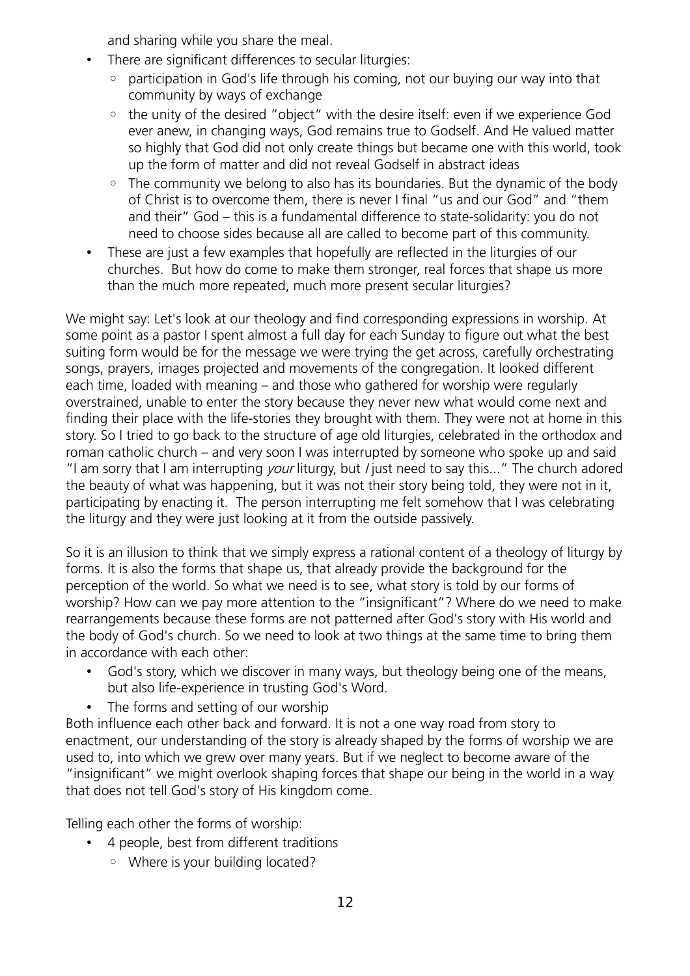and sharing while you share the meal.

- There are significant differences to secular liturgies:
	- participation in God's life through his coming, not our buying our way into that community by ways of exchange
	- the unity of the desired "object" with the desire itself: even if we experience God ever anew, in changing ways, God remains true to Godself. And He valued matter so highly that God did not only create things but became one with this world, took up the form of matter and did not reveal Godself in abstract ideas
	- The community we belong to also has its boundaries. But the dynamic of the body of Christ is to overcome them, there is never I final "us and our God" and "them and their" God – this is a fundamental difference to state-solidarity: you do not need to choose sides because all are called to become part of this community.
- These are just a few examples that hopefully are reflected in the liturgies of our churches. But how do come to make them stronger, real forces that shape us more than the much more repeated, much more present secular liturgies?

We might say: Let's look at our theology and find corresponding expressions in worship. At some point as a pastor I spent almost a full day for each Sunday to figure out what the best suiting form would be for the message we were trying the get across, carefully orchestrating songs, prayers, images projected and movements of the congregation. It looked different each time, loaded with meaning – and those who gathered for worship were regularly overstrained, unable to enter the story because they never new what would come next and finding their place with the life-stories they brought with them. They were not at home in this story. So I tried to go back to the structure of age old liturgies, celebrated in the orthodox and roman catholic church – and very soon I was interrupted by someone who spoke up and said "I am sorry that I am interrupting your liturgy, but *I* just need to say this..." The church adored the beauty of what was happening, but it was not their story being told, they were not in it, participating by enacting it. The person interrupting me felt somehow that I was celebrating the liturgy and they were just looking at it from the outside passively.

So it is an illusion to think that we simply express a rational content of a theology of liturgy by forms. It is also the forms that shape us, that already provide the background for the perception of the world. So what we need is to see, what story is told by our forms of worship? How can we pay more attention to the "insignificant"? Where do we need to make rearrangements because these forms are not patterned after God's story with His world and the body of God's church. So we need to look at two things at the same time to bring them in accordance with each other:

- God's story, which we discover in many ways, but theology being one of the means, but also life-experience in trusting God's Word.
- The forms and setting of our worship

Both influence each other back and forward. It is not a one way road from story to enactment, our understanding of the story is already shaped by the forms of worship we are used to, into which we grew over many years. But if we neglect to become aware of the "insignificant" we might overlook shaping forces that shape our being in the world in a way that does not tell God's story of His kingdom come.

Telling each other the forms of worship:

- 4 people, best from different traditions
	- Where is your building located?